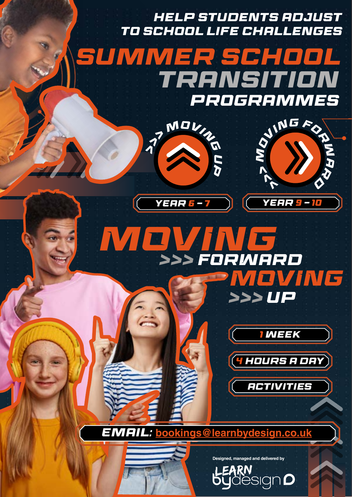help students adjust to school life challenges

# summer school transition **PROGRAMMES**

 $\pi$ <sup>MOVIN</sup>G





U  $\boldsymbol{v}$ 



Email: **[bookings@learnbydesign.co.uk](mailto:bookings@learnbydesign.co.uk)**

**Designed, managed and delivered by**

lèsian **D**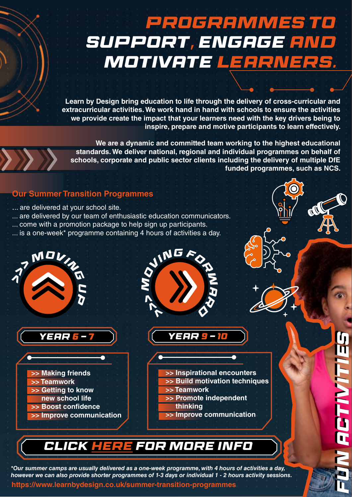### Programmes to support, engage and **MOTIVATE LEARNER**

**Learn by Design bring education to life through the delivery of cross-curricular and extracurricular activities. We work hand in hand with schools to ensure the activities we provide create the impact that your learners need with the key drivers being to inspire, prepare and motive participants to learn effectively.**

**We are a dynamic and committed team working to the highest educational standards. We deliver national, regional and individual programmes on behalf of schools, corporate and public sector clients including the delivery of multiple DfE funded programmes, such as NCS.**

#### **Our Summer Transition Programmes**

- ... are delivered at your school site.
- ... are delivered by our team of enthusiastic education communicators.

YEAR 6 - 7 YEAR 9 - 10

- ... come with a promotion package to help sign up participants.
- ... is a one-week\* programme containing 4 hours of activities a day.





**>> Improve communication**



- **>> Inspirational encounters >> Build motivation techniques**
- **>> Teamwork**
- **>> Promote independent thinking**
- **>> Improve communication**

### ICK HERE FOR MORE INFO.

*\*Our summer camps are usually delivered as a one-week programme, with 4 hours of activities a day, however we can also provide shorter programmes of 1-3 days or individual 1 - 2 hours activity sessions.*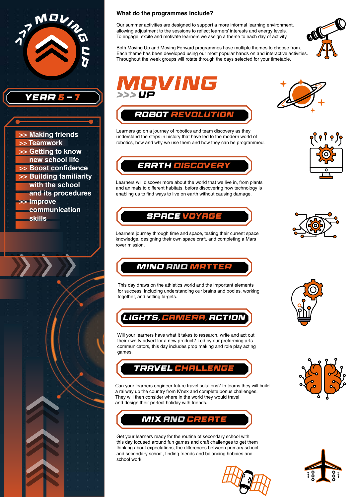

#### **What do the programmes include?**

Our summer activities are designed to support a more informal learning environment, allowing adjustment to the sessions to reflect learners' interests and energy levels. To engage, excite and motivate learners we assign a theme to each day of activity.



Both Moving Up and Moving Forward programmes have multiple themes to choose from. Each theme has been developed using our most popular hands on and interactive activities. Throughout the week groups will rotate through the days selected for your timetable.





Learners go on a journey of robotics and team discovery as they understand the steps in history that have led to the modern world of robotics, how and why we use them and how they can be programmed.



Learners will discover more about the world that we live in, from plants and animals to different habitats, before discovering how technology is enabling us to find ways to live on earth without causing damage.

#### space voyage

Learners journey through time and space, testing their current space knowledge, designing their own space craft, and completing a Mars rover mission.



This day draws on the athletics world and the important elements for success, including understanding our brains and bodies, working together, and setting targets.



Will your learners have what it takes to research, write and act out their own tv advert for a new product? Led by our preforming arts communicators, this day includes prop making and role play acting games.



Can your learners engineer future travel solutions? In teams they will build a railway up the country from K'nex and complete bonus challenges. They will then consider where in the world they would travel and design their perfect holiday with friends.



Get your learners ready for the routine of secondary school with this day focused around fun games and craft challenges to get them thinking about expectations, the differences between primary school and secondary school, finding friends and balancing hobbies and school work.











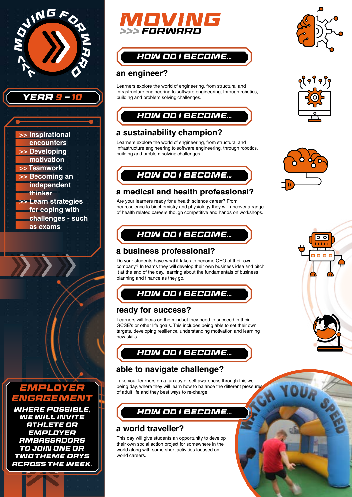



where possible, WE WILL INVITE athlete or employer ambassadors to join one or two theme days across the week.





#### **an engineer?**

Learners explore the world of engineering, from structural and infrastructure engineering to software engineering, through robotics, building and problem solving challenges.



#### **a sustainability champion?**

Learners explore the world of engineering, from structural and infrastructure engineering to software engineering, through robotics, building and problem solving challenges.

### how do i become...

#### **a medical and health professional?**

Are your learners ready for a health science career? From neuroscience to biochemistry and physiology they will uncover a range of health related careers though competitive and hands on workshops.

#### how do i become...

#### **a business professional?**

Do your students have what it takes to become CEO of their own company? In teams they will develop their own business idea and pitch it at the end of the day, learning about the fundamentals of business planning and finance as they go.



#### **ready for success?**

Learners will focus on the mindset they need to succeed in their GCSE's or other life goals. This includes being able to set their own targets, developing resilience, understanding motivation and learning new skills.



#### **able to navigate challenge?**

Take your learners on a fun day of self awareness through this wellbeing day, where they will learn how to balance the different pressures of adult life and they best ways to re-charge.

### how do i become...

#### **a world traveller?**

This day will give students an opportunity to develop their own social action project for somewhere in the world along with some short activities focused on world careers.







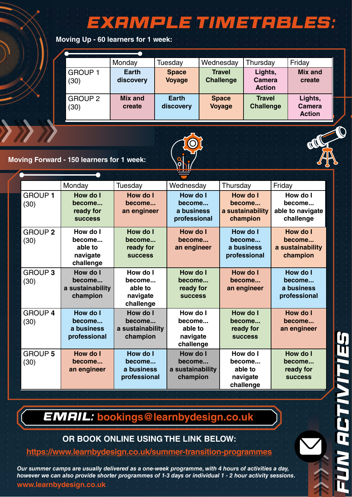### example timetables:

**Moving Up - 60 learners for 1 week:**

|                        | Monday                   | Tuesday                       | Wednesday                         | Thursday                                  | Friday                                    |
|------------------------|--------------------------|-------------------------------|-----------------------------------|-------------------------------------------|-------------------------------------------|
| <b>GROUP 1</b><br>(30) | Earth<br>discovery       | <b>Space</b><br><b>Voyage</b> | <b>Travel</b><br><b>Challenge</b> | Lights,<br><b>Camera</b><br><b>Action</b> | <b>Mix and</b><br>create                  |
| <b>GROUP 2</b><br>(30) | <b>Mix and</b><br>create | <b>Earth</b><br>discovery     | <b>Space</b><br><b>Voyage</b>     | <b>Travel</b><br><b>Challenge</b>         | Lights,<br><b>Camera</b><br><b>Action</b> |

**Moving Forward - 150 learners for 1 week:**

|                        | Monday                                                 | Tuesday                                                | Wednesday                                                 | Thursday                                               | Friday                                              |
|------------------------|--------------------------------------------------------|--------------------------------------------------------|-----------------------------------------------------------|--------------------------------------------------------|-----------------------------------------------------|
| <b>GROUP 1</b><br>(30) | How do I<br>become<br>ready for<br><b>SUCCESS</b>      | How do I<br>become<br>an engineer                      | How do I<br>become<br>a business<br>professional          | How do I<br>become<br>a sustainability<br>champion     | How do I<br>become<br>able to navigate<br>challenge |
| <b>GROUP 2</b><br>(30) | How do I<br>become<br>able to<br>navigate<br>challenge | How do I<br>become<br>ready for<br><b>SUCCESS</b>      | How do I<br>become<br>an engineer                         | How do I<br>become<br>a business<br>professional       | How do I<br>become<br>a sustainability<br>champion  |
| <b>GROUP 3</b><br>(30) | How do I<br>become<br>a sustainability<br>champion     | How do I<br>become<br>able to<br>navigate<br>challenge | How do I<br>become<br>ready for<br><b>SUCCESS</b>         | How do I<br>become<br>an engineer                      | How do I<br>become<br>a business<br>professional    |
| <b>GROUP 4</b><br>(30) | How do I<br>become<br>a business<br>professional       | How do I<br>become<br>a sustainability<br>champion     | How do I<br>become<br>able to<br>navigate<br>challenge    | How do I<br>become<br>ready for<br><b>SUCCESS</b>      | <b>How do I</b><br>become<br>an engineer            |
| <b>GROUP 5</b><br>(30) | How do I<br>become<br>an engineer                      | How do I<br>become<br>a business<br>professional       | <b>How do I</b><br>become<br>a sustainability<br>champion | How do I<br>become<br>able to<br>navigate<br>challenge | How do I<br>become<br>ready for<br><b>SUCCESS</b>   |

Email: **bookings@learnbydesign.co.uk**

**OR BOOK ONLINE USING THE LINK BELOW:**

**<https://www.learnbydesign.co.uk/summer-transition-programmes>**

*Our summer camps are usually delivered as a one-week programme, with 4 hours of activities a day, however we can also provide shorter programmes of 1-3 days or individual 1 - 2 hour activity sessions.* **www.learnbydesign.co.uk**

M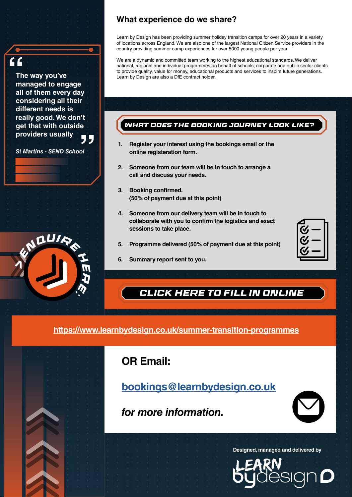**The way you've f**<br> **f**<br> **o** The way you've<br>
managed to engage **all of them every day considering all their different needs is really good. We don't get that with outside providers usually**

*St Martins - SEND School* 

ENGUIRE H

re:

 $\overline{\mathbf{A}}$ 

#### **What experience do we share?**

Learn by Design has been providing summer holiday transition camps for over 20 years in a variety of locations across England. We are also one of the largest National Citizen Service providers in the country providing summer camp experiences for over 5000 young people per year.

We are a dynamic and committed team working to the highest educational standards. We deliver national, regional and individual programmes on behalf of schools, corporate and public sector clients to provide quality, value for money, educational products and services to inspire future generations. Learn by Design are also a DfE contract holder.

#### What does the booking journey look like?

- **" 1. Register your interest using the bookings email or the online registeration form.**
- **2. Someone from our team will be in touch to arrange a call and discuss your needs.**
- **3. Booking confirmed. (50% of payment due at this point)**
- **4. Someone from our delivery team will be in touch to collaborate with you to confirm the logistics and exact sessions to take place.**
- **5. Programme delivered (50% of payment due at this point)**
- **6. Summary report sent to you.**

[click here to fill in online](https://www.learnbydesign.co.uk/summer-transition-programmes)

**<https://www.learnbydesign.co.uk/summer-transition-programmes>**



**OR Email:** 

**[bookings@learnbydesign.co.uk](mailto:bookings@learnbydesign.co.uk)**

*for more information.*



**Designed, managed and delivered by**

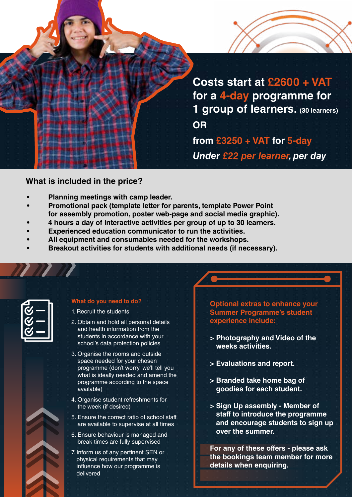

#### **What is included in the price?**

- **• Planning meetings with camp leader.**
- **Promotional pack (template letter for parents, template Power Point for assembly promotion, poster web-page and social media graphic).**
- **• 4 hours a day of interactive activities per group of up to 30 learners.**
- **• Experienced education communicator to run the activities.**
- **• All equipment and consumables needed for the workshops.**
- **• Breakout activities for students with additional needs (if necessary).**

| r, |  |
|----|--|
|    |  |
| ク  |  |
| 4  |  |
|    |  |

#### **What do you need to do?**

- 1. Recruit the students
- 2. Obtain and hold all personal details and health information from the students in accordance with your school's data protection policies
- 3. Organise the rooms and outside space needed for your chosen programme (don't worry, we'll tell you what is ideally needed and amend the programme according to the space available)
- 4. Organise student refreshments for the week (if desired)
- 5. Ensure the correct ratio of school staff are available to supervise at all times
- 6. Ensure behaviour is managed and break times are fully supervised
- 7. Inform us of any pertinent SEN or physical requirements that may influence how our programme is delivered

**Optional extras to enhance your Summer Programme's student experience include:**

- **> Photography and Video of the weeks activities.**
- **> Evaluations and report.**
- **> Branded take home bag of goodies for each student.**
- **> Sign Up assembly Member of staff to introduce the programme and encourage students to sign up over the summer.**

**For any of these offers - please ask the bookings team member for more details when enquiring.**